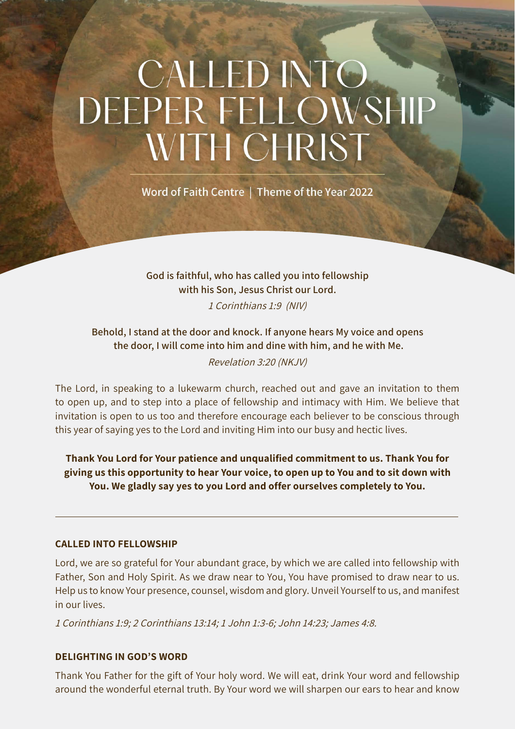# CALLED INTO DEEPER FELLOWSHIP WITH CHRIST

Word of Faith Centre | Theme of the Year 2022

God is faithful, who has called you into fellowship with his Son, Jesus Christ our Lord. 1 Corinthians 1:9 (NIV)

Behold, I stand at the door and knock. If anyone hears My voice and opens the door, I will come into him and dine with him, and he with Me. Revelation 3:20 (NKJV)

The Lord, in speaking to a lukewarm church, reached out and gave an invitation to them to open up, and to step into a place of fellowship and intimacy with Him. We believe that invitation is open to us too and therefore encourage each believer to be conscious through this year of saying yes to the Lord and inviting Him into our busy and hectic lives.

Thank You Lord for Your patience and unqualified commitment to us. Thank You for giving us this opportunity to hear Your voice, to open up to You and to sit down with You. We gladly say yes to you Lord and offer ourselves completely to You.

## CALLED INTO FELLOWSHIP

Lord, we are so grateful for Your abundant grace, by which we are called into fellowship with Father, Son and Holy Spirit. As we draw near to You, You have promised to draw near to us. Help us to know Your presence, counsel, wisdom and glory. Unveil Yourself to us, and manifest in our lives.

1 Corinthians 1:9; 2 Corinthians 13:14; 1 John 1:3-6; John 14:23; James 4:8.

## DELIGHTING IN GOD'S WORD

Thank You Father for the gift of Your holy word. We will eat, drink Your word and fellowship around the wonderful eternal truth. By Your word we will sharpen our ears to hear and know